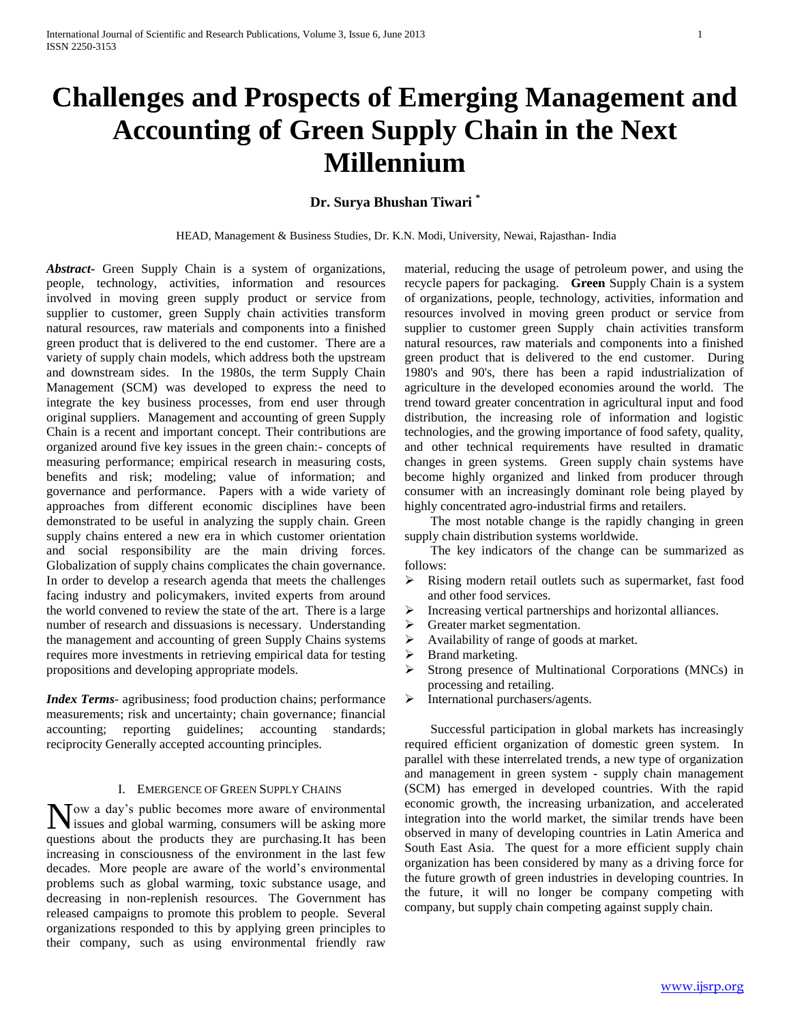# **Challenges and Prospects of Emerging Management and Accounting of Green Supply Chain in the Next Millennium**

# **Dr. Surya Bhushan Tiwari \***

HEAD, Management & Business Studies, Dr. K.N. Modi, University, Newai, Rajasthan- India

*Abstract***-** Green Supply Chain is a system of organizations, people, technology, activities, information and resources involved in moving green supply product or service from supplier to customer, green Supply chain activities transform natural resources, raw materials and components into a finished green product that is delivered to the end customer. There are a variety of supply chain models, which address both the upstream and downstream sides. In the 1980s, the term Supply Chain Management (SCM) was developed to express the need to integrate the key business processes, from end user through original suppliers. Management and accounting of green Supply Chain is a recent and important concept. Their contributions are organized around five key issues in the green chain:- concepts of measuring performance; empirical research in measuring costs, benefits and risk; modeling; value of information; and governance and performance. Papers with a wide variety of approaches from different economic disciplines have been demonstrated to be useful in analyzing the supply chain. Green supply chains entered a new era in which customer orientation and social responsibility are the main driving forces. Globalization of supply chains complicates the chain governance. In order to develop a research agenda that meets the challenges facing industry and policymakers, invited experts from around the world convened to review the state of the art. There is a large number of research and dissuasions is necessary. Understanding the management and accounting of green Supply Chains systems requires more investments in retrieving empirical data for testing propositions and developing appropriate models.

*Index Terms*- agribusiness; food production chains; performance measurements; risk and uncertainty; chain governance; financial accounting; reporting guidelines; accounting standards; reciprocity Generally accepted accounting principles.

## I. EMERGENCE OF GREEN SUPPLY CHAINS

ow a day's public becomes more aware of environmental Now a day's public becomes more aware of environmental issues and global warming, consumers will be asking more questions about the products they are purchasing.It has been increasing in consciousness of the environment in the last few decades. More people are aware of the world's environmental problems such as global warming, toxic substance usage, and decreasing in non-replenish resources. The Government has released campaigns to promote this problem to people. Several organizations responded to this by applying green principles to their company, such as using environmental friendly raw

material, reducing the usage of petroleum power, and using the recycle papers for packaging. **Green** Supply Chain is a system of organizations, people, technology, activities, information and resources involved in moving green product or service from supplier to customer green Supply chain activities transform natural resources, raw materials and components into a finished green product that is delivered to the end customer.During 1980's and 90's, there has been a rapid industrialization of agriculture in the developed economies around the world. The trend toward greater concentration in agricultural input and food distribution, the increasing role of information and logistic technologies, and the growing importance of food safety, quality, and other technical requirements have resulted in dramatic changes in green systems. Green supply chain systems have become highly organized and linked from producer through consumer with an increasingly dominant role being played by highly concentrated agro-industrial firms and retailers.

 The most notable change is the rapidly changing in green supply chain distribution systems worldwide.

 The key indicators of the change can be summarized as follows:

- Rising modern retail outlets such as supermarket, fast food and other food services.
- $\triangleright$  Increasing vertical partnerships and horizontal alliances.
- > Greater market segmentation.
- $\triangleright$  Availability of range of goods at market.
- $\triangleright$  Brand marketing.
- Strong presence of Multinational Corporations (MNCs) in processing and retailing.
- $\triangleright$  International purchasers/agents.

 Successful participation in global markets has increasingly required efficient organization of domestic green system. In parallel with these interrelated trends, a new type of organization and management in green system - supply chain management (SCM) has emerged in developed countries. With the rapid economic growth, the increasing urbanization, and accelerated integration into the world market, the similar trends have been observed in many of developing countries in Latin America and South East Asia. The quest for a more efficient supply chain organization has been considered by many as a driving force for the future growth of green industries in developing countries. In the future, it will no longer be company competing with company, but supply chain competing against supply chain.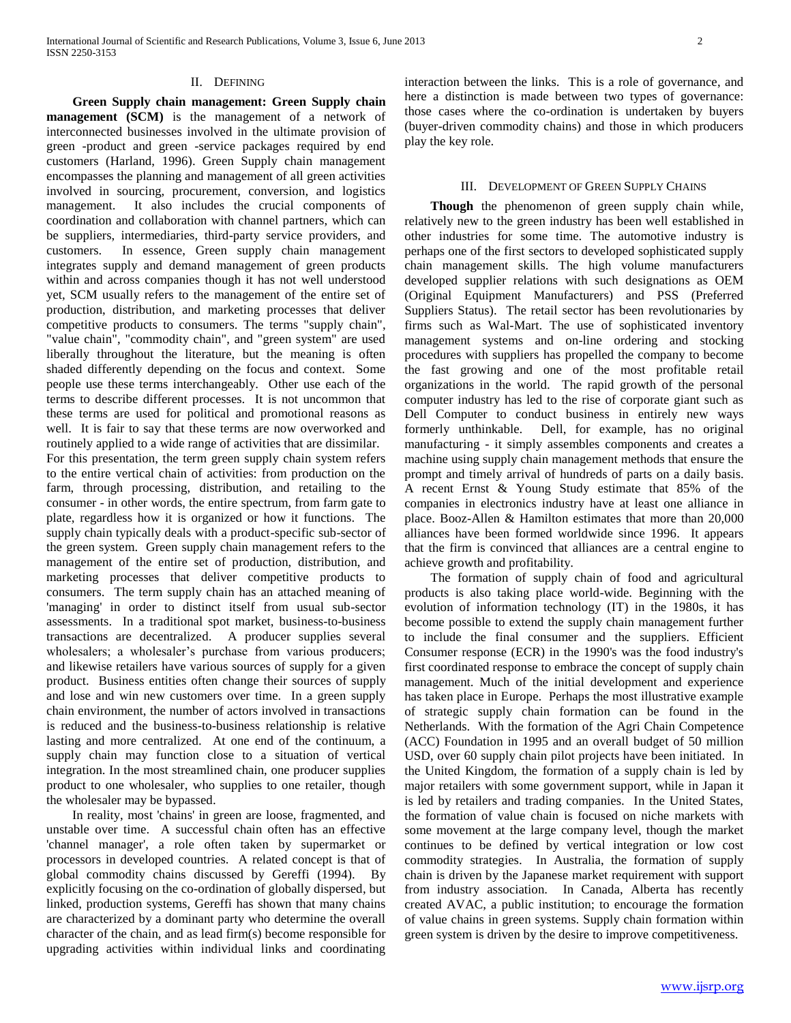#### II. DEFINING

 **Green Supply chain management: Green Supply chain management (SCM)** is the management of a network of interconnected businesses involved in the ultimate provision of green -product and green -service packages required by end customers (Harland, 1996). Green Supply chain management encompasses the planning and management of all green activities involved in sourcing, procurement, conversion, and logistics management. It also includes the crucial components of coordination and collaboration with channel partners, which can be suppliers, intermediaries, third-party service providers, and customers. In essence, Green supply chain management integrates supply and demand management of green products within and across companies though it has not well understood yet, SCM usually refers to the management of the entire set of production, distribution, and marketing processes that deliver competitive products to consumers. The terms "supply chain", "value chain", "commodity chain", and "green system" are used liberally throughout the literature, but the meaning is often shaded differently depending on the focus and context. Some people use these terms interchangeably. Other use each of the terms to describe different processes. It is not uncommon that these terms are used for political and promotional reasons as well. It is fair to say that these terms are now overworked and routinely applied to a wide range of activities that are dissimilar. For this presentation, the term green supply chain system refers to the entire vertical chain of activities: from production on the farm, through processing, distribution, and retailing to the consumer - in other words, the entire spectrum, from farm gate to plate, regardless how it is organized or how it functions. The supply chain typically deals with a product-specific sub-sector of the green system. Green supply chain management refers to the management of the entire set of production, distribution, and marketing processes that deliver competitive products to consumers. The term supply chain has an attached meaning of 'managing' in order to distinct itself from usual sub-sector assessments. In a traditional spot market, business-to-business transactions are decentralized. A producer supplies several wholesalers; a wholesaler's purchase from various producers; and likewise retailers have various sources of supply for a given product. Business entities often change their sources of supply and lose and win new customers over time. In a green supply chain environment, the number of actors involved in transactions is reduced and the business-to-business relationship is relative lasting and more centralized. At one end of the continuum, a supply chain may function close to a situation of vertical integration. In the most streamlined chain, one producer supplies product to one wholesaler, who supplies to one retailer, though the wholesaler may be bypassed.

 In reality, most 'chains' in green are loose, fragmented, and unstable over time. A successful chain often has an effective 'channel manager', a role often taken by supermarket or processors in developed countries. A related concept is that of global commodity chains discussed by Gereffi (1994). By explicitly focusing on the co-ordination of globally dispersed, but linked, production systems, Gereffi has shown that many chains are characterized by a dominant party who determine the overall character of the chain, and as lead firm(s) become responsible for upgrading activities within individual links and coordinating

interaction between the links. This is a role of governance, and here a distinction is made between two types of governance: those cases where the co-ordination is undertaken by buyers (buyer-driven commodity chains) and those in which producers play the key role.

#### III. DEVELOPMENT OF GREEN SUPPLY CHAINS

 **Though** the phenomenon of green supply chain while, relatively new to the green industry has been well established in other industries for some time. The automotive industry is perhaps one of the first sectors to developed sophisticated supply chain management skills. The high volume manufacturers developed supplier relations with such designations as OEM (Original Equipment Manufacturers) and PSS (Preferred Suppliers Status). The retail sector has been revolutionaries by firms such as Wal-Mart. The use of sophisticated inventory management systems and on-line ordering and stocking procedures with suppliers has propelled the company to become the fast growing and one of the most profitable retail organizations in the world. The rapid growth of the personal computer industry has led to the rise of corporate giant such as Dell Computer to conduct business in entirely new ways formerly unthinkable. Dell, for example, has no original manufacturing - it simply assembles components and creates a machine using supply chain management methods that ensure the prompt and timely arrival of hundreds of parts on a daily basis. A recent Ernst & Young Study estimate that 85% of the companies in electronics industry have at least one alliance in place. Booz-Allen & Hamilton estimates that more than 20,000 alliances have been formed worldwide since 1996. It appears that the firm is convinced that alliances are a central engine to achieve growth and profitability.

 The formation of supply chain of food and agricultural products is also taking place world-wide. Beginning with the evolution of information technology (IT) in the 1980s, it has become possible to extend the supply chain management further to include the final consumer and the suppliers. Efficient Consumer response (ECR) in the 1990's was the food industry's first coordinated response to embrace the concept of supply chain management. Much of the initial development and experience has taken place in Europe. Perhaps the most illustrative example of strategic supply chain formation can be found in the Netherlands. With the formation of the Agri Chain Competence (ACC) Foundation in 1995 and an overall budget of 50 million USD, over 60 supply chain pilot projects have been initiated. In the United Kingdom, the formation of a supply chain is led by major retailers with some government support, while in Japan it is led by retailers and trading companies. In the United States, the formation of value chain is focused on niche markets with some movement at the large company level, though the market continues to be defined by vertical integration or low cost commodity strategies. In Australia, the formation of supply chain is driven by the Japanese market requirement with support from industry association. In Canada, Alberta has recently created AVAC, a public institution; to encourage the formation of value chains in green systems. Supply chain formation within green system is driven by the desire to improve competitiveness.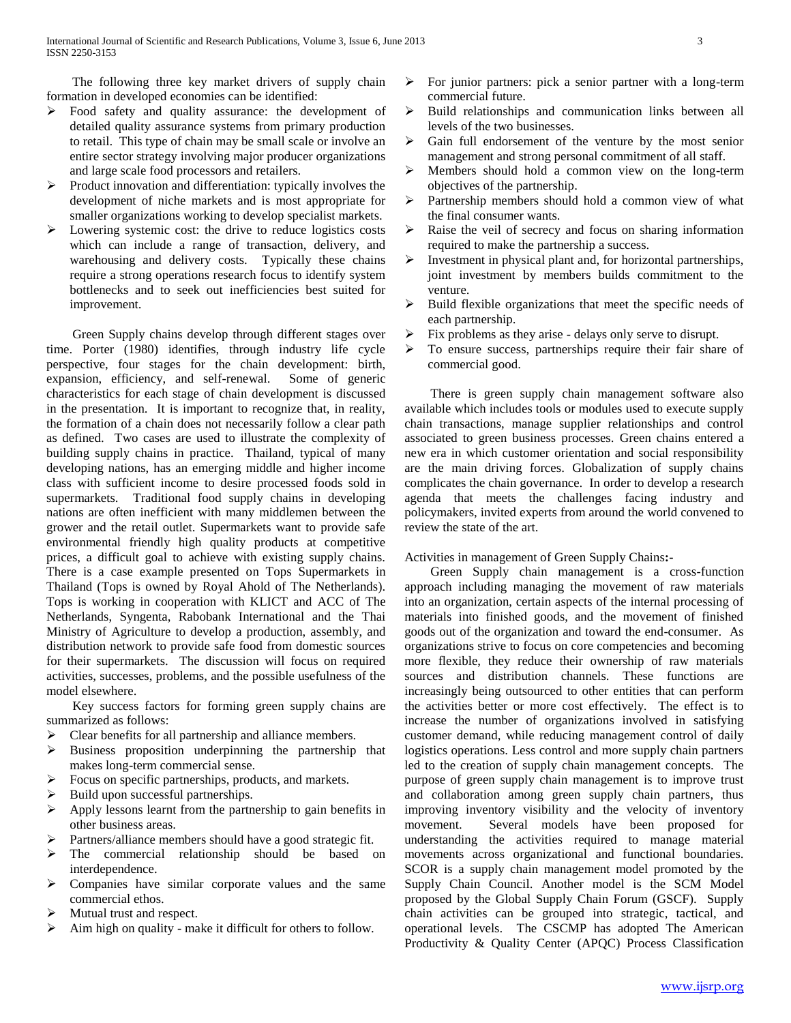The following three key market drivers of supply chain formation in developed economies can be identified:

- $\triangleright$  Food safety and quality assurance: the development of detailed quality assurance systems from primary production to retail. This type of chain may be small scale or involve an entire sector strategy involving major producer organizations and large scale food processors and retailers.
- $\triangleright$  Product innovation and differentiation: typically involves the development of niche markets and is most appropriate for smaller organizations working to develop specialist markets.
- Lowering systemic cost: the drive to reduce logistics costs which can include a range of transaction, delivery, and warehousing and delivery costs. Typically these chains require a strong operations research focus to identify system bottlenecks and to seek out inefficiencies best suited for improvement.

 Green Supply chains develop through different stages over time. Porter (1980) identifies, through industry life cycle perspective, four stages for the chain development: birth, expansion, efficiency, and self-renewal. Some of generic characteristics for each stage of chain development is discussed in the presentation. It is important to recognize that, in reality, the formation of a chain does not necessarily follow a clear path as defined. Two cases are used to illustrate the complexity of building supply chains in practice. Thailand, typical of many developing nations, has an emerging middle and higher income class with sufficient income to desire processed foods sold in supermarkets. Traditional food supply chains in developing nations are often inefficient with many middlemen between the grower and the retail outlet. Supermarkets want to provide safe environmental friendly high quality products at competitive prices, a difficult goal to achieve with existing supply chains. There is a case example presented on Tops Supermarkets in Thailand (Tops is owned by Royal Ahold of The Netherlands). Tops is working in cooperation with KLICT and ACC of The Netherlands, Syngenta, Rabobank International and the Thai Ministry of Agriculture to develop a production, assembly, and distribution network to provide safe food from domestic sources for their supermarkets. The discussion will focus on required activities, successes, problems, and the possible usefulness of the model elsewhere.

 Key success factors for forming green supply chains are summarized as follows:

- Clear benefits for all partnership and alliance members.
- $\triangleright$  Business proposition underpinning the partnership that makes long-term commercial sense.
- Focus on specific partnerships, products, and markets.
- Build upon successful partnerships.
- Apply lessons learnt from the partnership to gain benefits in other business areas.
- Partners/alliance members should have a good strategic fit.
- The commercial relationship should be based on interdependence.
- Companies have similar corporate values and the same commercial ethos.
- Mutual trust and respect.
- $\triangleright$  Aim high on quality make it difficult for others to follow.
- $\triangleright$  For junior partners: pick a senior partner with a long-term commercial future.
- $\triangleright$  Build relationships and communication links between all levels of the two businesses.
- Gain full endorsement of the venture by the most senior management and strong personal commitment of all staff.
- $\triangleright$  Members should hold a common view on the long-term objectives of the partnership.
- $\triangleright$  Partnership members should hold a common view of what the final consumer wants.
- $\triangleright$  Raise the veil of secrecy and focus on sharing information required to make the partnership a success.
- $\triangleright$  Investment in physical plant and, for horizontal partnerships, joint investment by members builds commitment to the venture.
- $\triangleright$  Build flexible organizations that meet the specific needs of each partnership.
- Fix problems as they arise delays only serve to disrupt.
- $\triangleright$  To ensure success, partnerships require their fair share of commercial good.

 There is green supply chain management software also available which includes tools or modules used to execute supply chain transactions, manage supplier relationships and control associated to green business processes. Green chains entered a new era in which customer orientation and social responsibility are the main driving forces. Globalization of supply chains complicates the chain governance. In order to develop a research agenda that meets the challenges facing industry and policymakers, invited experts from around the world convened to review the state of the art.

Activities in management of Green Supply Chains**:-**

 Green Supply chain management is a cross-function approach including managing the movement of raw materials into an organization, certain aspects of the internal processing of materials into finished goods, and the movement of finished goods out of the organization and toward the end-consumer. As organizations strive to focus on core competencies and becoming more flexible, they reduce their ownership of raw materials sources and distribution channels. These functions are increasingly being outsourced to other entities that can perform the activities better or more cost effectively. The effect is to increase the number of organizations involved in satisfying customer demand, while reducing management control of daily logistics operations. Less control and more supply chain partners led to the creation of supply chain management concepts. The purpose of green supply chain management is to improve trust and collaboration among green supply chain partners, thus improving inventory visibility and the velocity of inventory movement. Several models have been proposed for understanding the activities required to manage material movements across organizational and functional boundaries. SCOR is a supply chain management model promoted by the Supply Chain Council. Another model is the SCM Model proposed by the Global Supply Chain Forum (GSCF). Supply chain activities can be grouped into strategic, tactical, and operational levels. The CSCMP has adopted The American Productivity & Quality Center (APQC) Process Classification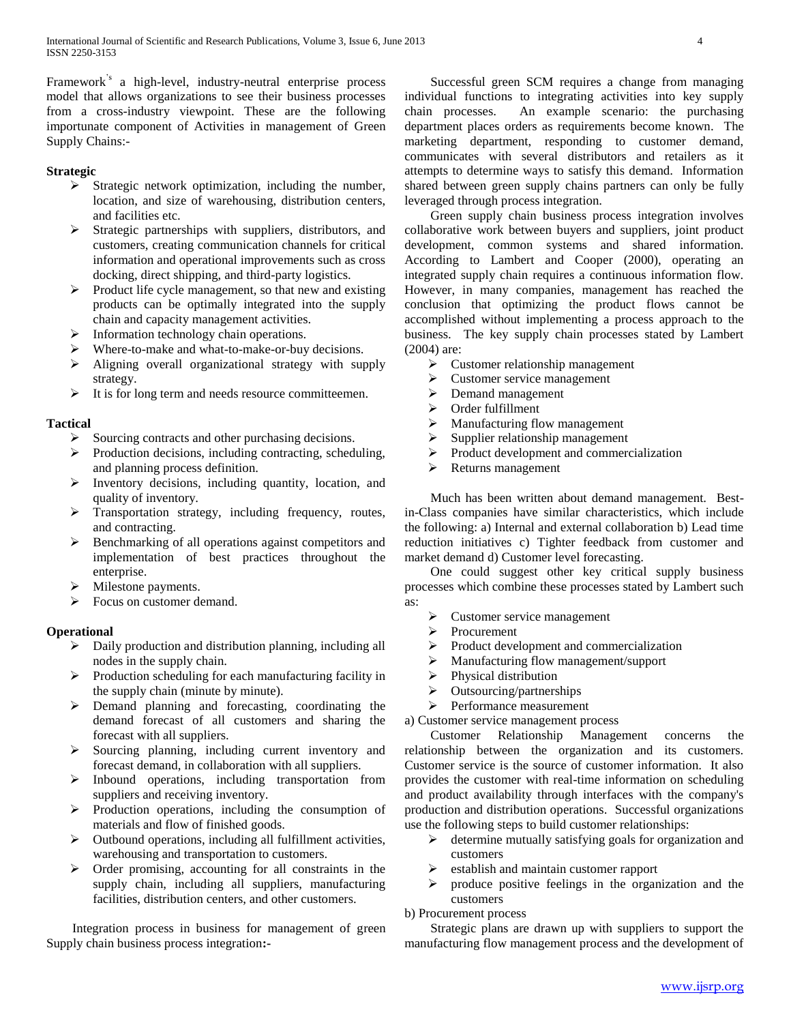Framework's a high-level, industry-neutral enterprise process model that allows organizations to see their business processes from a cross-industry viewpoint. These are the following importunate component of Activities in management of Green Supply Chains:-

## **Strategic**

- $\triangleright$  Strategic network optimization, including the number, location, and size of warehousing, distribution centers, and facilities etc.
- $\triangleright$  Strategic partnerships with suppliers, distributors, and customers, creating communication channels for critical information and operational improvements such as cross docking, direct shipping, and third-party logistics.
- $\triangleright$  Product life cycle management, so that new and existing products can be optimally integrated into the supply chain and capacity management activities.
- Information technology chain operations.
- Where-to-make and what-to-make-or-buy decisions.
- Aligning overall organizational strategy with supply strategy.
- $\triangleright$  It is for long term and needs resource committeemen.

## **Tactical**

- $\triangleright$  Sourcing contracts and other purchasing decisions.
- $\triangleright$  Production decisions, including contracting, scheduling, and planning process definition.
- Inventory decisions, including quantity, location, and quality of inventory.
- > Transportation strategy, including frequency, routes, and contracting.
- $\triangleright$  Benchmarking of all operations against competitors and implementation of best practices throughout the enterprise.
- $\triangleright$  Milestone payments.
- Focus on customer demand.

# **Operational**

- $\triangleright$  Daily production and distribution planning, including all nodes in the supply chain.
- $\triangleright$  Production scheduling for each manufacturing facility in the supply chain (minute by minute).
- $\triangleright$  Demand planning and forecasting, coordinating the demand forecast of all customers and sharing the forecast with all suppliers.
- $\triangleright$  Sourcing planning, including current inventory and forecast demand, in collaboration with all suppliers.
- $\triangleright$  Inbound operations, including transportation from suppliers and receiving inventory.
- $\triangleright$  Production operations, including the consumption of materials and flow of finished goods.
- $\triangleright$  Outbound operations, including all fulfillment activities, warehousing and transportation to customers.
- $\triangleright$  Order promising, accounting for all constraints in the supply chain, including all suppliers, manufacturing facilities, distribution centers, and other customers.

 Integration process in business for management of green Supply chain business process integration**:-**

 Successful green SCM requires a change from managing individual functions to integrating activities into key supply chain processes. An example scenario: the purchasing department places orders as requirements become known. The marketing department, responding to customer demand, communicates with several distributors and retailers as it attempts to determine ways to satisfy this demand. Information shared between green supply chains partners can only be fully leveraged through process integration.

 Green supply chain business process integration involves collaborative work between buyers and suppliers, joint product development, common systems and shared information. According to Lambert and Cooper (2000), operating an integrated supply chain requires a continuous information flow. However, in many companies, management has reached the conclusion that optimizing the product flows cannot be accomplished without implementing a process approach to the business. The key supply chain processes stated by Lambert (2004) are:

- $\triangleright$  Customer relationship management
- $\triangleright$  Customer service management
- **Demand management**
- Order fulfillment
- $\triangleright$  Manufacturing flow management<br> $\triangleright$  Sunnlier relationship management
- Supplier relationship management
- $\triangleright$  Product development and commercialization
- $\triangleright$  Returns management

 Much has been written about demand management. Bestin-Class companies have similar characteristics, which include the following: a) Internal and external collaboration b) Lead time reduction initiatives c) Tighter feedback from customer and market demand d) Customer level forecasting.

 One could suggest other key critical supply business processes which combine these processes stated by Lambert such as:

- $\triangleright$  Customer service management
- Procurement
- $\triangleright$  Product development and commercialization
- Manufacturing flow management/support
- > Physical distribution
- > Outsourcing/partnerships
- **Performance measurement**

a) Customer service management process

 Customer Relationship Management concerns the relationship between the organization and its customers. Customer service is the source of customer information. It also provides the customer with real-time information on scheduling and product availability through interfaces with the company's production and distribution operations. Successful organizations use the following steps to build customer relationships:

- $\triangleright$  determine mutually satisfying goals for organization and customers
- establish and maintain customer rapport
- $\triangleright$  produce positive feelings in the organization and the customers
- b) Procurement process

 Strategic plans are drawn up with suppliers to support the manufacturing flow management process and the development of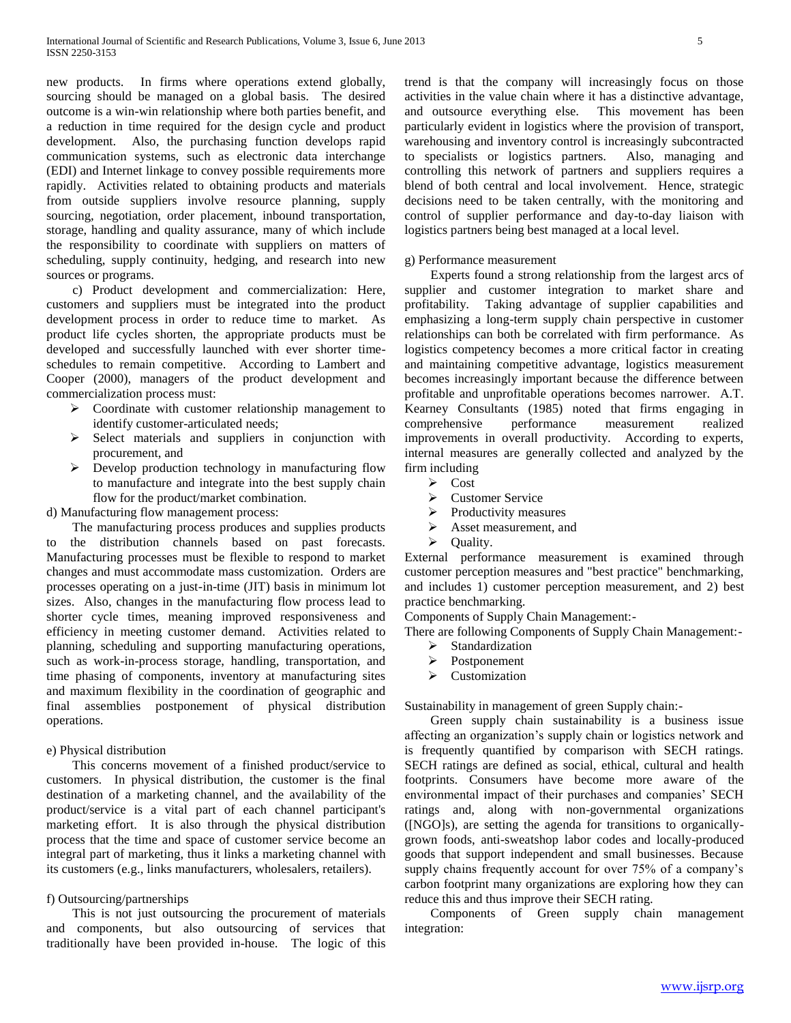new products. In firms where operations extend globally, sourcing should be managed on a global basis. The desired outcome is a win-win relationship where both parties benefit, and a reduction in time required for the design cycle and product development. Also, the purchasing function develops rapid communication systems, such as electronic data interchange (EDI) and Internet linkage to convey possible requirements more rapidly. Activities related to obtaining products and materials from outside suppliers involve resource planning, supply sourcing, negotiation, order placement, inbound transportation, storage, handling and quality assurance, many of which include the responsibility to coordinate with suppliers on matters of scheduling, supply continuity, hedging, and research into new sources or programs.

 c) Product development and commercialization: Here, customers and suppliers must be integrated into the product development process in order to reduce time to market. As product life cycles shorten, the appropriate products must be developed and successfully launched with ever shorter timeschedules to remain competitive. According to Lambert and Cooper (2000), managers of the product development and commercialization process must:

- $\triangleright$  Coordinate with customer relationship management to identify customer-articulated needs;
- $\triangleright$  Select materials and suppliers in conjunction with procurement, and
- Develop production technology in manufacturing flow to manufacture and integrate into the best supply chain flow for the product/market combination.

d) Manufacturing flow management process:

 The manufacturing process produces and supplies products the distribution channels based on past forecasts. Manufacturing processes must be flexible to respond to market changes and must accommodate mass customization. Orders are processes operating on a just-in-time (JIT) basis in minimum lot sizes. Also, changes in the manufacturing flow process lead to shorter cycle times, meaning improved responsiveness and efficiency in meeting customer demand. Activities related to planning, scheduling and supporting manufacturing operations, such as work-in-process storage, handling, transportation, and time phasing of components, inventory at manufacturing sites and maximum flexibility in the coordination of geographic and final assemblies postponement of physical distribution operations.

## e) Physical distribution

 This concerns movement of a finished product/service to customers. In physical distribution, the customer is the final destination of a marketing channel, and the availability of the product/service is a vital part of each channel participant's marketing effort. It is also through the physical distribution process that the time and space of customer service become an integral part of marketing, thus it links a marketing channel with its customers (e.g., links manufacturers, wholesalers, retailers).

## f) Outsourcing/partnerships

 This is not just outsourcing the procurement of materials and components, but also outsourcing of services that traditionally have been provided in-house. The logic of this trend is that the company will increasingly focus on those activities in the value chain where it has a distinctive advantage, and outsource everything else. This movement has been particularly evident in logistics where the provision of transport, warehousing and inventory control is increasingly subcontracted to specialists or logistics partners. Also, managing and controlling this network of partners and suppliers requires a blend of both central and local involvement. Hence, strategic decisions need to be taken centrally, with the monitoring and control of supplier performance and day-to-day liaison with logistics partners being best managed at a local level.

#### g) Performance measurement

 Experts found a strong relationship from the largest arcs of supplier and customer integration to market share and profitability. Taking advantage of supplier capabilities and emphasizing a long-term supply chain perspective in customer relationships can both be correlated with firm performance. As logistics competency becomes a more critical factor in creating and maintaining competitive advantage, logistics measurement becomes increasingly important because the difference between profitable and unprofitable operations becomes narrower. A.T. Kearney Consultants (1985) noted that firms engaging in comprehensive performance measurement realized improvements in overall productivity. According to experts, internal measures are generally collected and analyzed by the firm including

- $\triangleright$  Cost
- Customer Service
- $\triangleright$  Productivity measures
- $\triangleright$  Asset measurement, and
- $\triangleright$  Ouality.

External performance measurement is examined through customer perception measures and "best practice" benchmarking, and includes 1) customer perception measurement, and 2) best practice benchmarking.

Components of Supply Chain Management:-

There are following Components of Supply Chain Management:-

- $\triangleright$  Standardization
- > Postponement
- $\triangleright$  Customization

Sustainability in management of green Supply chain:-

 Green supply chain sustainability is a business issue affecting an organization's supply chain or logistics network and is frequently quantified by comparison with SECH ratings. SECH ratings are defined as social, ethical, cultural and health footprints. Consumers have become more aware of the environmental impact of their purchases and companies' SECH ratings and, along with non-governmental organizations ([NGO]s), are setting the agenda for transitions to organicallygrown foods, anti-sweatshop labor codes and locally-produced goods that support independent and small businesses. Because supply chains frequently account for over 75% of a company's carbon footprint many organizations are exploring how they can reduce this and thus improve their SECH rating.

 Components of Green supply chain management integration: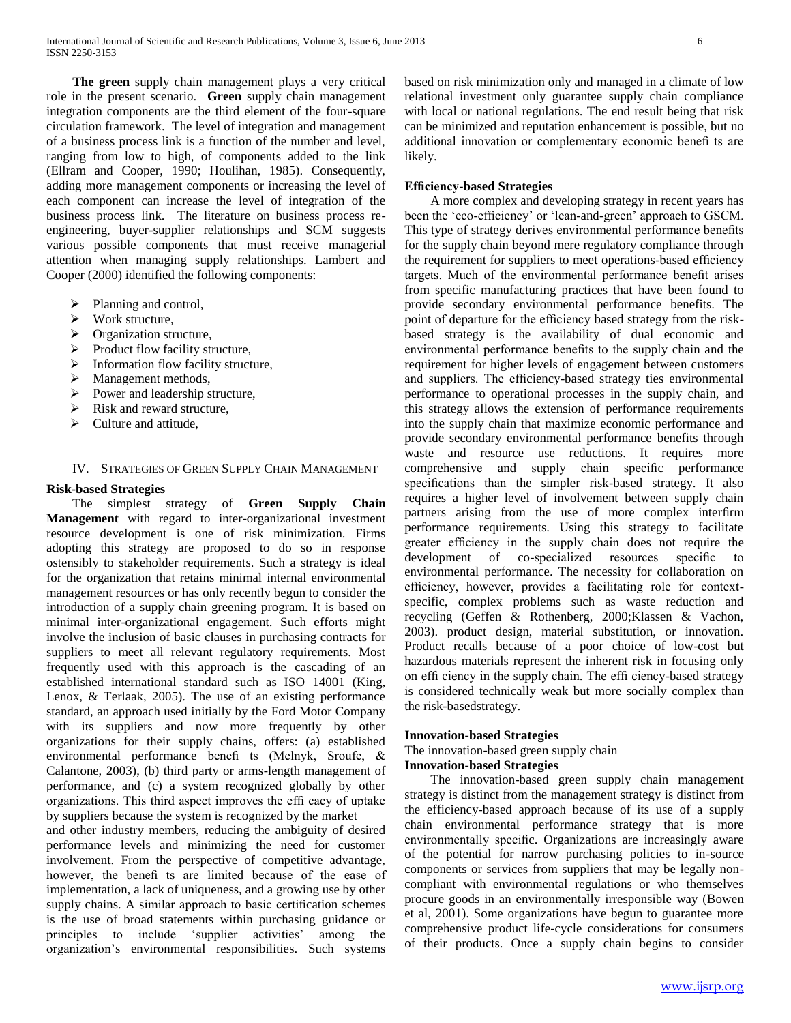**The green** supply chain management plays a very critical role in the present scenario. **Green** supply chain management integration components are the third element of the four-square circulation framework. The level of integration and management of a business process link is a function of the number and level, ranging from low to high, of components added to the link (Ellram and Cooper, 1990; Houlihan, 1985). Consequently, adding more management components or increasing the level of each component can increase the level of integration of the business process link. The literature on business process reengineering, buyer-supplier relationships and SCM suggests various possible components that must receive managerial attention when managing supply relationships. Lambert and Cooper (2000) identified the following components:

- $\triangleright$  Planning and control,
- Work structure,
- $\triangleright$  Organization structure,
- $\triangleright$  Product flow facility structure,
- $\triangleright$  Information flow facility structure,
- > Management methods,
- $\triangleright$  Power and leadership structure,
- $\triangleright$  Risk and reward structure,
- $\triangleright$  Culture and attitude,

#### IV. STRATEGIES OF GREEN SUPPLY CHAIN MANAGEMENT

#### **Risk-based Strategies**

 The simplest strategy of **Green Supply Chain Management** with regard to inter-organizational investment resource development is one of risk minimization. Firms adopting this strategy are proposed to do so in response ostensibly to stakeholder requirements. Such a strategy is ideal for the organization that retains minimal internal environmental management resources or has only recently begun to consider the introduction of a supply chain greening program. It is based on minimal inter-organizational engagement. Such efforts might involve the inclusion of basic clauses in purchasing contracts for suppliers to meet all relevant regulatory requirements. Most frequently used with this approach is the cascading of an established international standard such as ISO 14001 (King, Lenox, & Terlaak, 2005). The use of an existing performance standard, an approach used initially by the Ford Motor Company with its suppliers and now more frequently by other organizations for their supply chains, offers: (a) established environmental performance benefi ts (Melnyk, Sroufe, & Calantone, 2003), (b) third party or arms-length management of performance, and (c) a system recognized globally by other organizations. This third aspect improves the effi cacy of uptake by suppliers because the system is recognized by the market

and other industry members, reducing the ambiguity of desired performance levels and minimizing the need for customer involvement. From the perspective of competitive advantage, however, the benefi ts are limited because of the ease of implementation, a lack of uniqueness, and a growing use by other supply chains. A similar approach to basic certification schemes is the use of broad statements within purchasing guidance or principles to include 'supplier activities' among the organization's environmental responsibilities. Such systems based on risk minimization only and managed in a climate of low relational investment only guarantee supply chain compliance with local or national regulations. The end result being that risk can be minimized and reputation enhancement is possible, but no additional innovation or complementary economic benefi ts are likely.

## **Efficiency-based Strategies**

 A more complex and developing strategy in recent years has been the 'eco-efficiency' or 'lean-and-green' approach to GSCM. This type of strategy derives environmental performance benefits for the supply chain beyond mere regulatory compliance through the requirement for suppliers to meet operations-based efficiency targets. Much of the environmental performance benefit arises from specific manufacturing practices that have been found to provide secondary environmental performance benefits. The point of departure for the efficiency based strategy from the riskbased strategy is the availability of dual economic and environmental performance benefits to the supply chain and the requirement for higher levels of engagement between customers and suppliers. The efficiency-based strategy ties environmental performance to operational processes in the supply chain, and this strategy allows the extension of performance requirements into the supply chain that maximize economic performance and provide secondary environmental performance benefits through waste and resource use reductions. It requires more comprehensive and supply chain specific performance specifications than the simpler risk-based strategy. It also requires a higher level of involvement between supply chain partners arising from the use of more complex interfirm performance requirements. Using this strategy to facilitate greater efficiency in the supply chain does not require the development of co-specialized resources specific to environmental performance. The necessity for collaboration on efficiency, however, provides a facilitating role for contextspecific, complex problems such as waste reduction and recycling (Geffen & Rothenberg, 2000;Klassen & Vachon, 2003). product design, material substitution, or innovation. Product recalls because of a poor choice of low-cost but hazardous materials represent the inherent risk in focusing only on effi ciency in the supply chain. The effi ciency-based strategy is considered technically weak but more socially complex than the risk-basedstrategy.

#### **Innovation-based Strategies**

The innovation-based green supply chain

## **Innovation-based Strategies**

 The innovation-based green supply chain management strategy is distinct from the management strategy is distinct from the efficiency-based approach because of its use of a supply chain environmental performance strategy that is more environmentally specific. Organizations are increasingly aware of the potential for narrow purchasing policies to in-source components or services from suppliers that may be legally noncompliant with environmental regulations or who themselves procure goods in an environmentally irresponsible way (Bowen et al, 2001). Some organizations have begun to guarantee more comprehensive product life-cycle considerations for consumers of their products. Once a supply chain begins to consider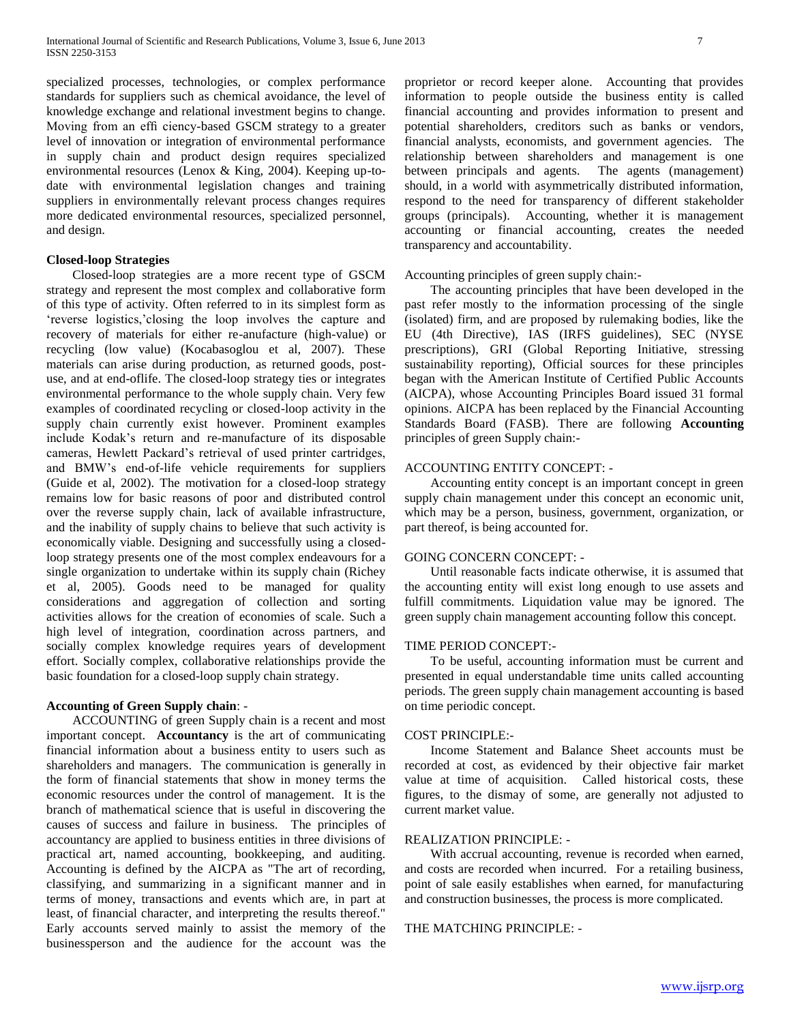specialized processes, technologies, or complex performance standards for suppliers such as chemical avoidance, the level of knowledge exchange and relational investment begins to change. Moving from an effi ciency-based GSCM strategy to a greater level of innovation or integration of environmental performance in supply chain and product design requires specialized environmental resources (Lenox & King, 2004). Keeping up-todate with environmental legislation changes and training suppliers in environmentally relevant process changes requires more dedicated environmental resources, specialized personnel, and design.

## **Closed-loop Strategies**

 Closed-loop strategies are a more recent type of GSCM strategy and represent the most complex and collaborative form of this type of activity. Often referred to in its simplest form as 'reverse logistics,'closing the loop involves the capture and recovery of materials for either re-anufacture (high-value) or recycling (low value) (Kocabasoglou et al, 2007). These materials can arise during production, as returned goods, postuse, and at end-oflife. The closed-loop strategy ties or integrates environmental performance to the whole supply chain. Very few examples of coordinated recycling or closed-loop activity in the supply chain currently exist however. Prominent examples include Kodak's return and re-manufacture of its disposable cameras, Hewlett Packard's retrieval of used printer cartridges, and BMW's end-of-life vehicle requirements for suppliers (Guide et al, 2002). The motivation for a closed-loop strategy remains low for basic reasons of poor and distributed control over the reverse supply chain, lack of available infrastructure, and the inability of supply chains to believe that such activity is economically viable. Designing and successfully using a closedloop strategy presents one of the most complex endeavours for a single organization to undertake within its supply chain (Richey et al, 2005). Goods need to be managed for quality considerations and aggregation of collection and sorting activities allows for the creation of economies of scale. Such a high level of integration, coordination across partners, and socially complex knowledge requires years of development effort. Socially complex, collaborative relationships provide the basic foundation for a closed-loop supply chain strategy.

## **Accounting of Green Supply chain**: -

 ACCOUNTING of green Supply chain is a recent and most important concept. **Accountancy** is the art of communicating financial information about a business entity to users such as shareholders and managers. The communication is generally in the form of financial statements that show in money terms the economic resources under the control of management. It is the branch of mathematical science that is useful in discovering the causes of success and failure in business. The principles of accountancy are applied to business entities in three divisions of practical art, named accounting, bookkeeping, and auditing. Accounting is defined by the AICPA as "The art of recording, classifying, and summarizing in a significant manner and in terms of money, transactions and events which are, in part at least, of financial character, and interpreting the results thereof." Early accounts served mainly to assist the memory of the businessperson and the audience for the account was the proprietor or record keeper alone. Accounting that provides information to people outside the business entity is called financial accounting and provides information to present and potential shareholders, creditors such as banks or vendors, financial analysts, economists, and government agencies. The relationship between shareholders and management is one between principals and agents. The agents (management) should, in a world with asymmetrically distributed information, respond to the need for transparency of different stakeholder groups (principals). Accounting, whether it is management accounting or financial accounting, creates the needed transparency and accountability.

## Accounting principles of green supply chain:-

 The accounting principles that have been developed in the past refer mostly to the information processing of the single (isolated) firm, and are proposed by rulemaking bodies, like the EU (4th Directive), IAS (IRFS guidelines), SEC (NYSE prescriptions), GRI (Global Reporting Initiative, stressing sustainability reporting), Official sources for these principles began with the American Institute of Certified Public Accounts (AICPA), whose Accounting Principles Board issued 31 formal opinions. AICPA has been replaced by the Financial Accounting Standards Board (FASB). There are following **Accounting** principles of green Supply chain:-

## ACCOUNTING ENTITY CONCEPT: -

 Accounting entity concept is an important concept in green supply chain management under this concept an economic unit, which may be a person, business, government, organization, or part thereof, is being accounted for.

## GOING CONCERN CONCEPT: -

 Until reasonable facts indicate otherwise, it is assumed that the accounting entity will exist long enough to use assets and fulfill commitments. Liquidation value may be ignored. The green supply chain management accounting follow this concept.

## TIME PERIOD CONCEPT:-

 To be useful, accounting information must be current and presented in equal understandable time units called accounting periods. The green supply chain management accounting is based on time periodic concept.

### COST PRINCIPLE:-

 Income Statement and Balance Sheet accounts must be recorded at cost, as evidenced by their objective fair market value at time of acquisition. Called historical costs, these figures, to the dismay of some, are generally not adjusted to current market value.

## REALIZATION PRINCIPLE: -

 With accrual accounting, revenue is recorded when earned, and costs are recorded when incurred. For a retailing business, point of sale easily establishes when earned, for manufacturing and construction businesses, the process is more complicated.

## THE MATCHING PRINCIPLE: -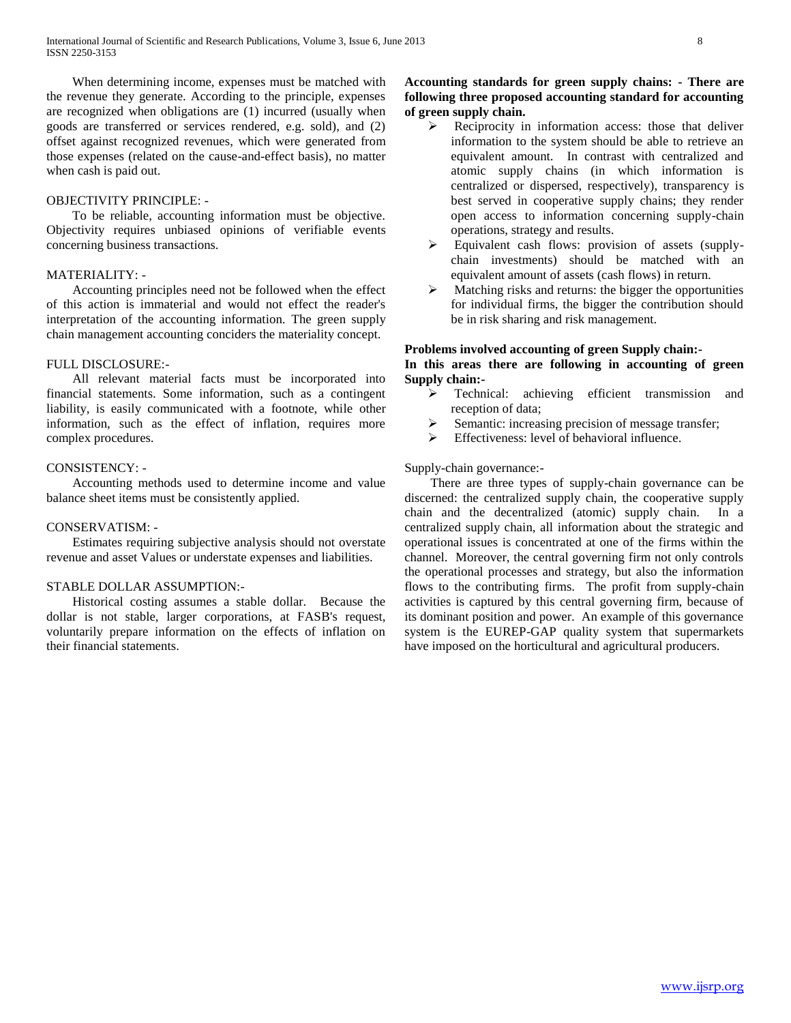When determining income, expenses must be matched with the revenue they generate. According to the principle, expenses are recognized when obligations are (1) incurred (usually when goods are transferred or services rendered, e.g. sold), and (2) offset against recognized revenues, which were generated from those expenses (related on the cause-and-effect basis), no matter when cash is paid out.

### OBJECTIVITY PRINCIPLE: -

 To be reliable, accounting information must be objective. Objectivity requires unbiased opinions of verifiable events concerning business transactions.

## MATERIALITY: -

 Accounting principles need not be followed when the effect of this action is immaterial and would not effect the reader's interpretation of the accounting information. The green supply chain management accounting conciders the materiality concept.

## FULL DISCLOSURE:-

 All relevant material facts must be incorporated into financial statements. Some information, such as a contingent liability, is easily communicated with a footnote, while other information, such as the effect of inflation, requires more complex procedures.

## CONSISTENCY: -

 Accounting methods used to determine income and value balance sheet items must be consistently applied.

#### CONSERVATISM: -

 Estimates requiring subjective analysis should not overstate revenue and asset Values or understate expenses and liabilities.

## STABLE DOLLAR ASSUMPTION:-

 Historical costing assumes a stable dollar. Because the dollar is not stable, larger corporations, at FASB's request, voluntarily prepare information on the effects of inflation on their financial statements.

## **Accounting standards for green supply chains: - There are following three proposed accounting standard for accounting of green supply chain.**

- Reciprocity in information access: those that deliver information to the system should be able to retrieve an equivalent amount. In contrast with centralized and atomic supply chains (in which information is centralized or dispersed, respectively), transparency is best served in cooperative supply chains; they render open access to information concerning supply-chain operations, strategy and results.
- Equivalent cash flows: provision of assets (supplychain investments) should be matched with an equivalent amount of assets (cash flows) in return.
- $\triangleright$  Matching risks and returns: the bigger the opportunities for individual firms, the bigger the contribution should be in risk sharing and risk management.

## **Problems involved accounting of green Supply chain:- In this areas there are following in accounting of green Supply chain:-**

- > Technical: achieving efficient transmission and reception of data;
- $\triangleright$  Semantic: increasing precision of message transfer;
- $\triangleright$  Effectiveness: level of behavioral influence.

Supply-chain governance:-

 There are three types of supply-chain governance can be discerned: the centralized supply chain, the cooperative supply chain and the decentralized (atomic) supply chain. In a centralized supply chain, all information about the strategic and operational issues is concentrated at one of the firms within the channel. Moreover, the central governing firm not only controls the operational processes and strategy, but also the information flows to the contributing firms. The profit from supply-chain activities is captured by this central governing firm, because of its dominant position and power. An example of this governance system is the EUREP-GAP quality system that supermarkets have imposed on the horticultural and agricultural producers.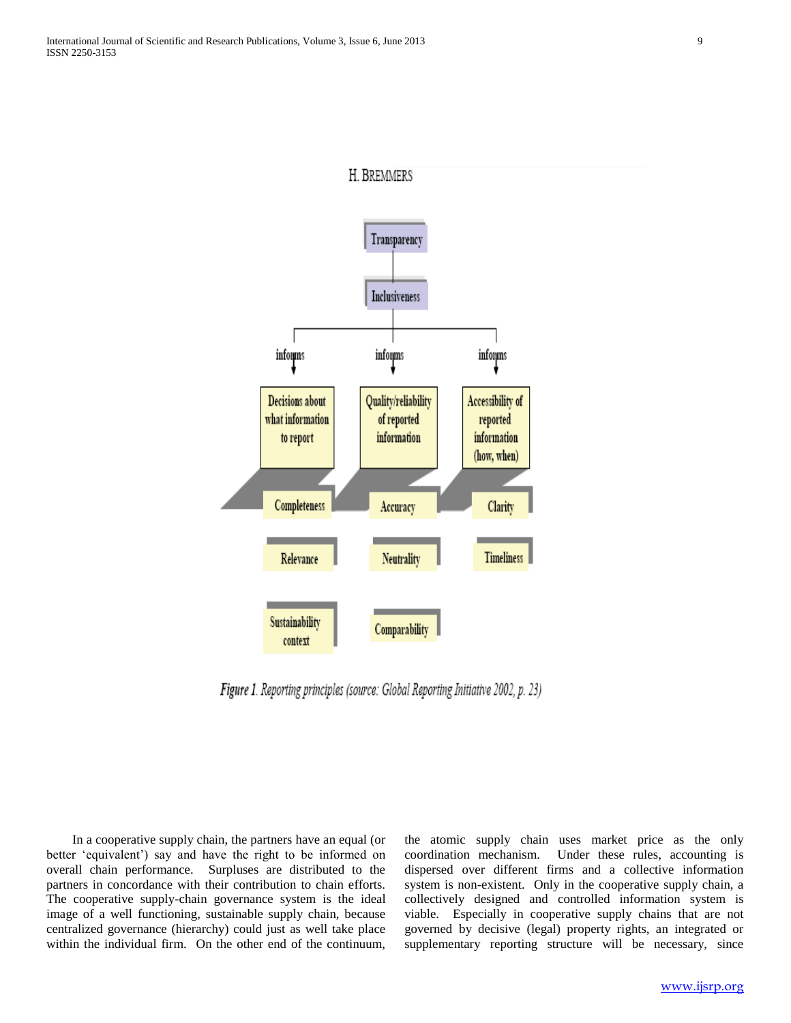

Figure 1. Reporting principles (source: Global Reporting Initiative 2002, p. 23)

 In a cooperative supply chain, the partners have an equal (or better 'equivalent') say and have the right to be informed on overall chain performance. Surpluses are distributed to the partners in concordance with their contribution to chain efforts. The cooperative supply-chain governance system is the ideal image of a well functioning, sustainable supply chain, because centralized governance (hierarchy) could just as well take place within the individual firm. On the other end of the continuum,

the atomic supply chain uses market price as the only coordination mechanism. Under these rules, accounting is dispersed over different firms and a collective information system is non-existent. Only in the cooperative supply chain, a collectively designed and controlled information system is viable. Especially in cooperative supply chains that are not governed by decisive (legal) property rights, an integrated or supplementary reporting structure will be necessary, since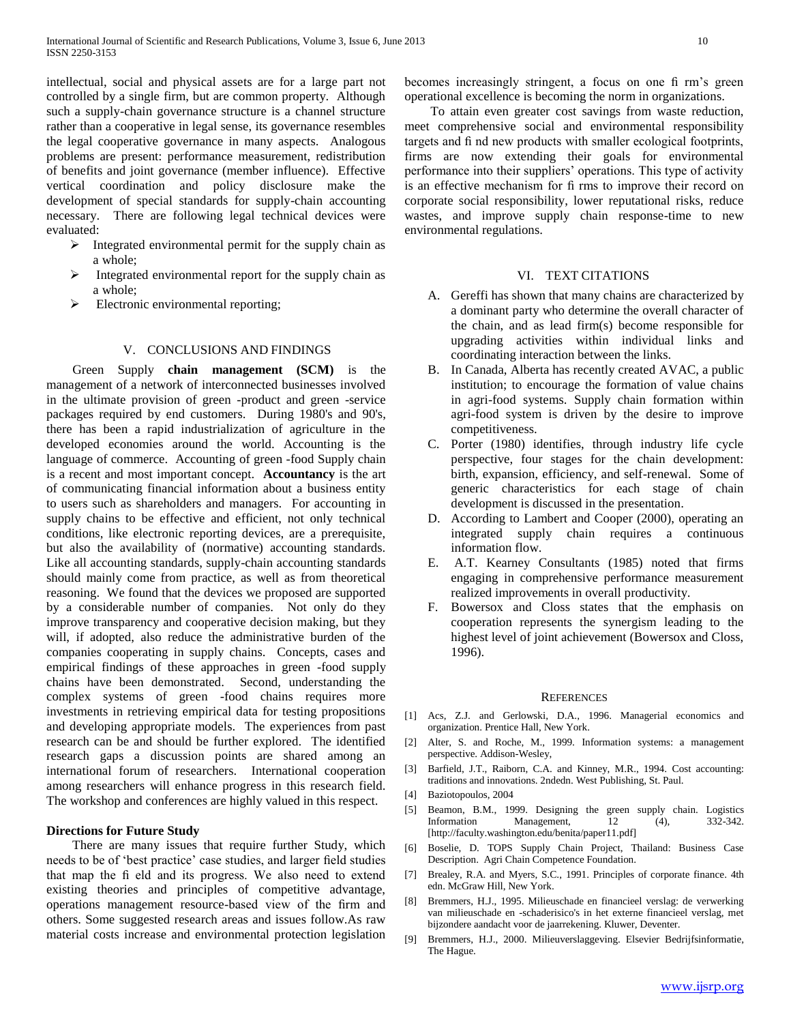intellectual, social and physical assets are for a large part not controlled by a single firm, but are common property. Although such a supply-chain governance structure is a channel structure rather than a cooperative in legal sense, its governance resembles the legal cooperative governance in many aspects. Analogous problems are present: performance measurement, redistribution of benefits and joint governance (member influence). Effective vertical coordination and policy disclosure make the development of special standards for supply-chain accounting necessary. There are following legal technical devices were evaluated:

- $\triangleright$  Integrated environmental permit for the supply chain as a whole;
- $\triangleright$  Integrated environmental report for the supply chain as a whole;
- $\triangleright$  Electronic environmental reporting;

#### V. CONCLUSIONS AND FINDINGS

 Green Supply **chain management (SCM)** is the management of a network of interconnected businesses involved in the ultimate provision of green -product and green -service packages required by end customers. During 1980's and 90's, there has been a rapid industrialization of agriculture in the developed economies around the world. Accounting is the language of commerce. Accounting of green -food Supply chain is a recent and most important concept. **Accountancy** is the art of communicating financial information about a business entity to users such as shareholders and managers. For accounting in supply chains to be effective and efficient, not only technical conditions, like electronic reporting devices, are a prerequisite, but also the availability of (normative) accounting standards. Like all accounting standards, supply-chain accounting standards should mainly come from practice, as well as from theoretical reasoning. We found that the devices we proposed are supported by a considerable number of companies. Not only do they improve transparency and cooperative decision making, but they will, if adopted, also reduce the administrative burden of the companies cooperating in supply chains. Concepts, cases and empirical findings of these approaches in green -food supply chains have been demonstrated. Second, understanding the complex systems of green -food chains requires more investments in retrieving empirical data for testing propositions and developing appropriate models. The experiences from past research can be and should be further explored. The identified research gaps a discussion points are shared among an international forum of researchers. International cooperation among researchers will enhance progress in this research field. The workshop and conferences are highly valued in this respect.

## **Directions for Future Study**

 There are many issues that require further Study, which needs to be of 'best practice' case studies, and larger field studies that map the fi eld and its progress. We also need to extend existing theories and principles of competitive advantage, operations management resource-based view of the firm and others. Some suggested research areas and issues follow.As raw material costs increase and environmental protection legislation becomes increasingly stringent, a focus on one fi rm's green operational excellence is becoming the norm in organizations.

 To attain even greater cost savings from waste reduction, meet comprehensive social and environmental responsibility targets and fi nd new products with smaller ecological footprints, firms are now extending their goals for environmental performance into their suppliers' operations. This type of activity is an effective mechanism for fi rms to improve their record on corporate social responsibility, lower reputational risks, reduce wastes, and improve supply chain response-time to new environmental regulations.

#### VI. TEXT CITATIONS

- A. Gereffi has shown that many chains are characterized by a dominant party who determine the overall character of the chain, and as lead firm(s) become responsible for upgrading activities within individual links and coordinating interaction between the links.
- B. In Canada, Alberta has recently created AVAC, a public institution; to encourage the formation of value chains in agri-food systems. Supply chain formation within agri-food system is driven by the desire to improve competitiveness.
- C. Porter (1980) identifies, through industry life cycle perspective, four stages for the chain development: birth, expansion, efficiency, and self-renewal. Some of generic characteristics for each stage of chain development is discussed in the presentation.
- D. According to Lambert and Cooper (2000), operating an integrated supply chain requires a continuous information flow.
- E. A.T. Kearney Consultants (1985) noted that firms engaging in comprehensive performance measurement realized improvements in overall productivity.
- F. Bowersox and Closs states that the emphasis on cooperation represents the synergism leading to the highest level of joint achievement (Bowersox and Closs, 1996).

#### **REFERENCES**

- [1] Acs, Z.J. and Gerlowski, D.A., 1996. Managerial economics and organization. Prentice Hall, New York.
- [2] Alter, S. and Roche, M., 1999. Information systems: a management perspective. Addison-Wesley,
- [3] Barfield, J.T., Raiborn, C.A. and Kinney, M.R., 1994. Cost accounting: traditions and innovations. 2ndedn. West Publishing, St. Paul.
- [4] Baziotopoulos, 2004
- [5] Beamon, B.M., 1999. Designing the green supply chain. Logistics Information Management, 12 (4), 332-342. [http://faculty.washington.edu/benita/paper11.pdf]
- [6] Boselie, D. TOPS Supply Chain Project, Thailand: Business Case Description. Agri Chain Competence Foundation.
- [7] Brealey, R.A. and Myers, S.C., 1991. Principles of corporate finance. 4th edn. McGraw Hill, New York.
- [8] Bremmers, H.J., 1995. Milieuschade en financieel verslag: de verwerking van milieuschade en -schaderisico's in het externe financieel verslag, met bijzondere aandacht voor de jaarrekening. Kluwer, Deventer.
- [9] Bremmers, H.J., 2000. Milieuverslaggeving. Elsevier Bedrijfsinformatie, The Hague.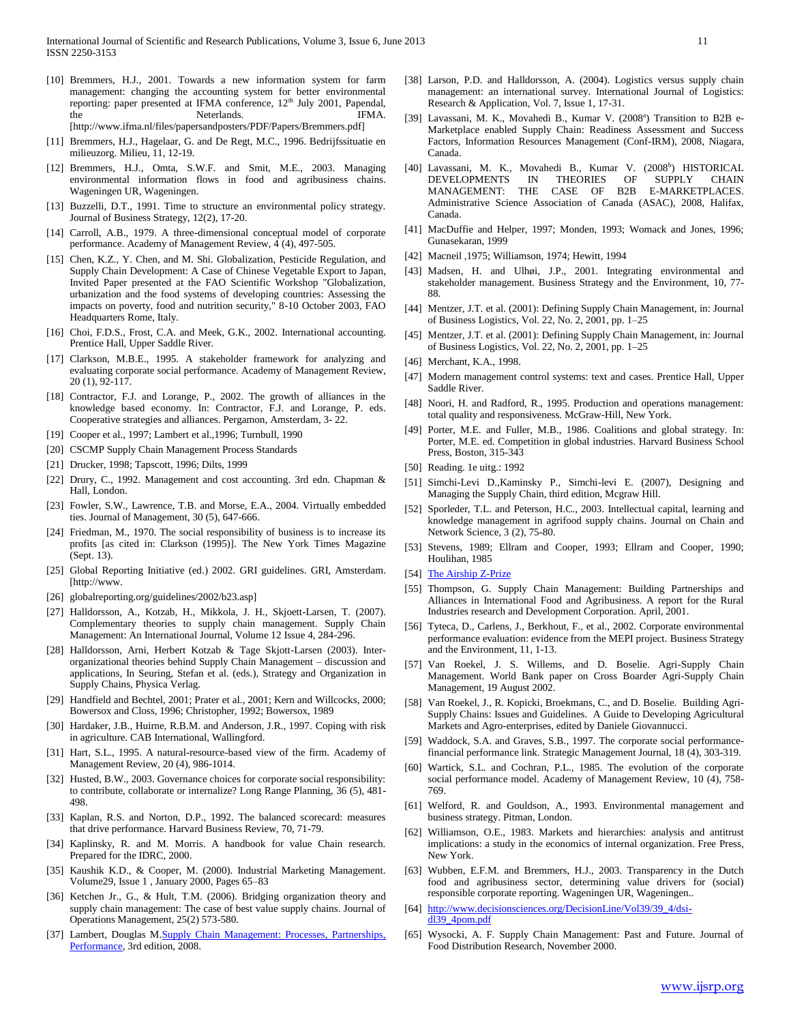- [10] Bremmers, H.J., 2001. Towards a new information system for farm management: changing the accounting system for better environmental reporting: paper presented at IFMA conference, 12<sup>th</sup> July 2001, Papendal, the Neterlands. IFMA. [http://www.ifma.nl/files/papersandposters/PDF/Papers/Bremmers.pdf]
- [11] Bremmers, H.J., Hagelaar, G. and De Regt, M.C., 1996. Bedrijfssituatie en milieuzorg. Milieu, 11, 12-19.
- [12] Bremmers, H.J., Omta, S.W.F. and Smit, M.E., 2003. Managing environmental information flows in food and agribusiness chains. Wageningen UR, Wageningen.
- [13] Buzzelli, D.T., 1991. Time to structure an environmental policy strategy. Journal of Business Strategy, 12(2), 17-20.
- [14] Carroll, A.B., 1979. A three-dimensional conceptual model of corporate performance. Academy of Management Review, 4 (4), 497-505.
- [15] Chen, K.Z., Y. Chen, and M. Shi. Globalization, Pesticide Regulation, and Supply Chain Development: A Case of Chinese Vegetable Export to Japan, Invited Paper presented at the FAO Scientific Workshop "Globalization, urbanization and the food systems of developing countries: Assessing the impacts on poverty, food and nutrition security," 8-10 October 2003, FAO Headquarters Rome, Italy.
- [16] Choi, F.D.S., Frost, C.A. and Meek, G.K., 2002. International accounting. Prentice Hall, Upper Saddle River.
- [17] Clarkson, M.B.E., 1995. A stakeholder framework for analyzing and evaluating corporate social performance. Academy of Management Review, 20 (1), 92-117.
- [18] Contractor, F.J. and Lorange, P., 2002. The growth of alliances in the knowledge based economy. In: Contractor, F.J. and Lorange, P. eds. Cooperative strategies and alliances. Pergamon, Amsterdam, 3- 22.
- [19] Cooper et al., 1997; Lambert et al., 1996; Turnbull, 1990
- [20] CSCMP Supply Chain Management Process Standards
- [21] Drucker, 1998; Tapscott, 1996; Dilts, 1999
- [22] Drury, C., 1992. Management and cost accounting. 3rd edn. Chapman & Hall, London.
- [23] Fowler, S.W., Lawrence, T.B. and Morse, E.A., 2004. Virtually embedded ties. Journal of Management, 30 (5), 647-666.
- [24] Friedman, M., 1970. The social responsibility of business is to increase its profits [as cited in: Clarkson (1995)]. The New York Times Magazine (Sept. 13).
- [25] Global Reporting Initiative (ed.) 2002. GRI guidelines. GRI, Amsterdam. [http://www.
- [26] globalreporting.org/guidelines/2002/b23.asp]
- [27] Halldorsson, A., Kotzab, H., Mikkola, J. H., Skjoett-Larsen, T. (2007). Complementary theories to supply chain management. Supply Chain Management: An International Journal, Volume 12 Issue 4, 284-296.
- [28] Halldorsson, Arni, Herbert Kotzab & Tage Skjott-Larsen (2003). Interorganizational theories behind Supply Chain Management – discussion and applications, In Seuring, Stefan et al. (eds.), Strategy and Organization in Supply Chains, Physica Verlag.
- [29] Handfield and Bechtel, 2001; Prater et al., 2001; Kern and Willcocks, 2000; Bowersox and Closs, 1996; Christopher, 1992; Bowersox, 1989
- [30] Hardaker, J.B., Huirne, R.B.M. and Anderson, J.R., 1997. Coping with risk in agriculture. CAB International, Wallingford.
- [31] Hart, S.L., 1995. A natural-resource-based view of the firm. Academy of Management Review, 20 (4), 986-1014.
- [32] Husted, B.W., 2003. Governance choices for corporate social responsibility: to contribute, collaborate or internalize? Long Range Planning, 36 (5), 481- 498.
- [33] Kaplan, R.S. and Norton, D.P., 1992. The balanced scorecard: measures that drive performance. Harvard Business Review, 70, 71-79.
- [34] Kaplinsky, R. and M. Morris. A handbook for value Chain research. Prepared for the IDRC, 2000.
- [35] Kaushik K.D., & Cooper, M. (2000). Industrial Marketing Management. Volume29, Issue 1 , January 2000, Pages 65–83
- [36] Ketchen Jr., G., & Hult, T.M. (2006). Bridging organization theory and supply chain management: The case of best value supply chains. Journal of Operations Management, 25(2) 573-580.
- [37] Lambert, Douglas M.Supply Chain Management: Processes, Partnerships, [Performance,](http://www.scm-institute.org/) 3rd edition, 2008.
- [38] Larson, P.D. and Halldorsson, A. (2004). Logistics versus supply chain management: an international survey. International Journal of Logistics: Research & Application, Vol. 7, Issue 1, 17-31.
- [39] Lavassani, M. K., Movahedi B., Kumar V. (2008<sup>a</sup>) Transition to B2B e-Marketplace enabled Supply Chain: Readiness Assessment and Success Factors, Information Resources Management (Conf-IRM), 2008, Niagara, Canada.
- [40] Lavassani, M. K., Movahedi B., Kumar V. (2008<sup>b</sup>) HISTORICAL DEVELOPMENTS IN THEORIES OF SUPPLY CHAIN MANAGEMENT: THE CASE OF B2B E-MARKETPLACES. MANAGEMENT: THE CASE OF B2B Administrative Science Association of Canada (ASAC), 2008, Halifax, Canada.
- [41] MacDuffie and Helper, 1997; Monden, 1993; Womack and Jones, 1996; Gunasekaran, 1999
- [42] Macneil ,1975; Williamson, 1974; Hewitt, 1994
- [43] Madsen, H. and Ulhøi, J.P., 2001. Integrating environmental and stakeholder management. Business Strategy and the Environment, 10, 77- 88.
- [44] Mentzer, J.T. et al. (2001): Defining Supply Chain Management, in: Journal of Business Logistics, Vol. 22, No. 2, 2001, pp. 1–25
- [45] Mentzer, J.T. et al. (2001): Defining Supply Chain Management, in: Journal of Business Logistics, Vol. 22, No. 2, 2001, pp. 1–25
- [46] Merchant, K.A., 1998.
- [47] Modern management control systems: text and cases. Prentice Hall, Upper Saddle River.
- [48] Noori, H. and Radford, R., 1995. Production and operations management: total quality and responsiveness. McGraw-Hill, New York.
- [49] Porter, M.E. and Fuller, M.B., 1986. Coalitions and global strategy. In: Porter, M.E. ed. Competition in global industries. Harvard Business School Press, Boston, 315-343
- [50] Reading. 1e uitg.: 1992
- [51] Simchi-Levi D.,Kaminsky P., Simchi-levi E. (2007), Designing and Managing the Supply Chain, third edition, Mcgraw Hill.
- [52] Sporleder, T.L. and Peterson, H.C., 2003. Intellectual capital, learning and knowledge management in agrifood supply chains. Journal on Chain and Network Science, 3 (2), 75-80.
- [53] Stevens, 1989; Ellram and Cooper, 1993; Ellram and Cooper, 1990; Houlihan, 1985
- [54] [The Airship Z-Prize](http://www.airshipzprize.org/?page_id=11)
- [55] Thompson, G. Supply Chain Management: Building Partnerships and Alliances in International Food and Agribusiness. A report for the Rural Industries research and Development Corporation. April, 2001.
- [56] Tyteca, D., Carlens, J., Berkhout, F., et al., 2002. Corporate environmental performance evaluation: evidence from the MEPI project. Business Strategy and the Environment, 11, 1-13.
- [57] Van Roekel, J. S. Willems, and D. Boselie. Agri-Supply Chain Management. World Bank paper on Cross Boarder Agri-Supply Chain Management, 19 August 2002.
- [58] Van Roekel, J., R. Kopicki, Broekmans, C., and D. Boselie. Building Agri-Supply Chains: Issues and Guidelines. A Guide to Developing Agricultural Markets and Agro-enterprises, edited by Daniele Giovannucci.
- [59] Waddock, S.A. and Graves, S.B., 1997. The corporate social performancefinancial performance link. Strategic Management Journal, 18 (4), 303-319.
- [60] Wartick, S.L. and Cochran, P.L., 1985. The evolution of the corporate social performance model. Academy of Management Review, 10 (4), 758- 769.
- [61] Welford, R. and Gouldson, A., 1993. Environmental management and business strategy. Pitman, London.
- [62] Williamson, O.E., 1983. Markets and hierarchies: analysis and antitrust implications: a study in the economics of internal organization. Free Press, New York.
- [63] Wubben, E.F.M. and Bremmers, H.J., 2003. Transparency in the Dutch food and agribusiness sector, determining value drivers for (social) responsible corporate reporting. Wageningen UR, Wageningen..
- [64] [http://www.decisionsciences.org/DecisionLine/Vol39/39\\_4/dsi](http://www.decisionsciences.org/DecisionLine/Vol39/39_4/dsi-dl39_4pom.pdf)[dl39\\_4pom.pdf](http://www.decisionsciences.org/DecisionLine/Vol39/39_4/dsi-dl39_4pom.pdf)
- [65] Wysocki, A. F. Supply Chain Management: Past and Future. Journal of Food Distribution Research, November 2000.